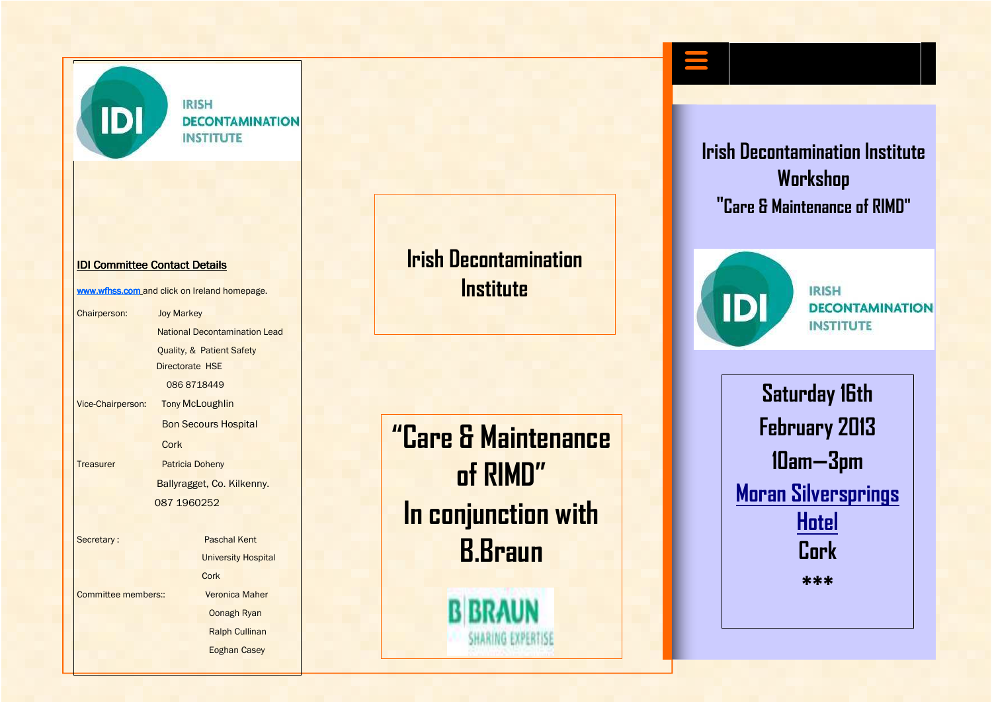

**IRISH DECONTAMINATION INSTITUTE** 

#### IDI Committee Contact Details

www.wfhss.com and click on Ireland homepage.

Chairperson: Joy Markey National Decontamination Lead Quality, & Patient Safety Directorate HSE 086 8718449 Vice-Chairperson: **Tony McLoughlin** Bon Secours Hospital **Cork** Treasurer Patricia Doheny Ballyragget, Co. Kilkenny. 087 1960252 Secretary : Paschal Kent University Hospital Cork Committee members:: Veronica Maher Oonagh Ryan Ralph Cullinan

Eoghan Casey

## **Irish Decontamination Institute**

**"Care & Maintenance of RIMD" In conjunction with B.Braun** 

**B BRAUN** 

**SHARING EXPERTISE** 

**Irish Decontamination Institute Workshop "Care & Maintenance of RIMD"**



**IRISH DECONTAMINATION INSTITUTE** 

**Saturday 16th February 2013 10am—3pm Moran Silversprings HotelCork** 

**\*\*\***